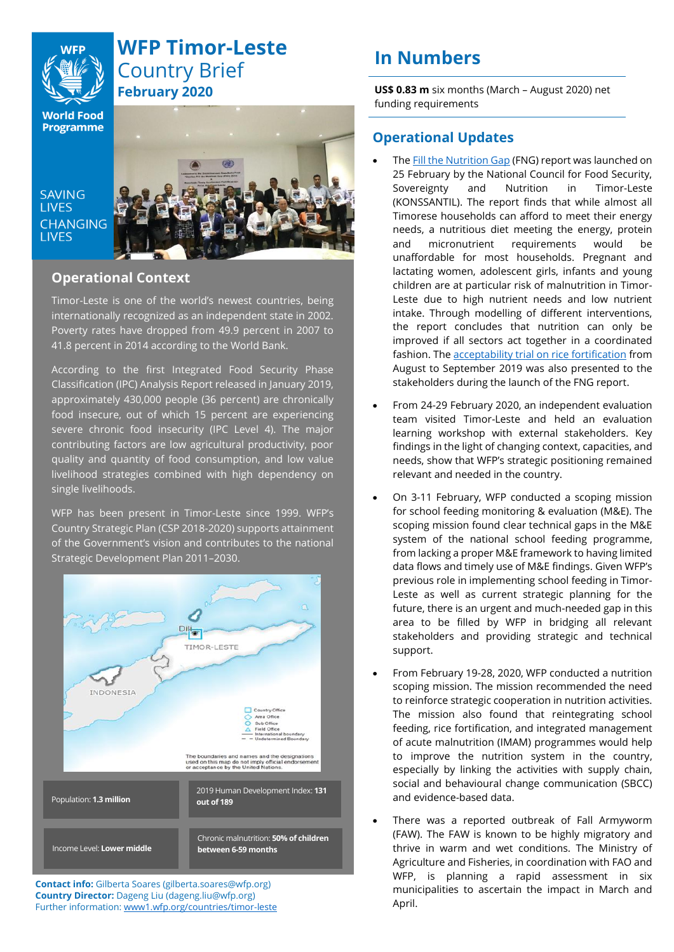

# **WFP Timor-Leste** Country Brief **February 2020**

**World Food Programme** 

**LIVES CHANGING LIVES** 



# **Operational Context**

Timor-Leste is one of the world's newest countries, being internationally recognized as an independent state in 2002. Poverty rates have dropped from 49.9 percent in 2007 to 41.8 percent in 2014 according to the World Bank.

According to the first Integrated Food Security Phase Classification (IPC) Analysis Report released in January 2019, approximately 430,000 people (36 percent) are chronically food insecure, out of which 15 percent are experiencing severe chronic food insecurity (IPC Level 4). The major contributing factors are low agricultural productivity, poor quality and quantity of food consumption, and low value livelihood strategies combined with high dependency on single livelihoods.

WFP has been present in Timor-Leste since 1999. WFP's Country Strategic Plan (CSP 2018-2020) supports attainment of the Government's vision and contributes to the national Strategic Development Plan 2011–2030.



**Contact info:** Gilberta Soares (gilberta.soares@wfp.org) **Country Director:** Dageng Liu (dageng.liu@wfp.org) Further information: [www1.wfp.org/countries/timor-leste](http://www.wfp.org/countries/timor-leste)

# **In Numbers**

**US\$ 0.83 m** six months (March – August 2020) net funding requirements

# **Operational Updates**

- The **Fill the Nutrition Gap** (FNG) report was launched on 25 February by the National Council for Food Security, Sovereignty and Nutrition in Timor-Leste (KONSSANTIL). The report finds that while almost all Timorese households can afford to meet their energy needs, a nutritious diet meeting the energy, protein and micronutrient requirements would be unaffordable for most households. Pregnant and lactating women, adolescent girls, infants and young children are at particular risk of malnutrition in Timor-Leste due to high nutrient needs and low nutrient intake. Through modelling of different interventions, the report concludes that nutrition can only be improved if all sectors act together in a coordinated fashion. The acceptability [trial on rice fortification](https://www.wfp.org/publications/wfp-timor-leste-rice-fortification-acceptability-trials-march-2020) from August to September 2019 was also presented to the stakeholders during the launch of the FNG report.
- From 24-29 February 2020, an independent evaluation team visited Timor-Leste and held an evaluation learning workshop with external stakeholders. Key findings in the light of changing context, capacities, and needs, show that WFP's strategic positioning remained relevant and needed in the country.
- On 3-11 February, WFP conducted a scoping mission for school feeding monitoring & evaluation (M&E). The scoping mission found clear technical gaps in the M&E system of the national school feeding programme, from lacking a proper M&E framework to having limited data flows and timely use of M&E findings. Given WFP's previous role in implementing school feeding in Timor-Leste as well as current strategic planning for the future, there is an urgent and much-needed gap in this area to be filled by WFP in bridging all relevant stakeholders and providing strategic and technical support.
- From February 19-28, 2020, WFP conducted a nutrition scoping mission. The mission recommended the need to reinforce strategic cooperation in nutrition activities. The mission also found that reintegrating school feeding, rice fortification, and integrated management of acute malnutrition (IMAM) programmes would help to improve the nutrition system in the country, especially by linking the activities with supply chain, social and behavioural change communication (SBCC) and evidence-based data.
- There was a reported outbreak of Fall Armyworm (FAW). The FAW is known to be highly migratory and thrive in warm and wet conditions. The Ministry of Agriculture and Fisheries, in coordination with FAO and WFP, is planning a rapid assessment in six municipalities to ascertain the impact in March and April.